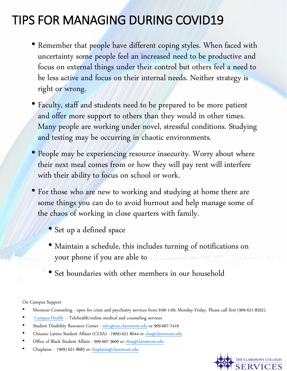## TIPS FOR MANAGING DURING COVID19

- Remember that people have different coping styles. When faced with uncertainty some people feel an increased need to be productive and focus on external things under their control but others feel a need to be less active and focus on their internal needs. Neither strategy is right or wrong.
- Faculty, staff and students need to be prepared to be more patient and offer more support to others than they would in other times. Many people are working under novel, stressful conditions. Studying and testing may be occurring in chaotic environments.
- People may be experiencing resource insecurity. Worry about where their next meal comes from or how they will pay rent will interfere with their ability to focus on school or work.
- For those who are new to working and studying at home there are some things you can do to avoid burnout and help manage some of the chaos of working in close quarters with family.
	- Set up a defined space
	- Maintain a schedule, this includes turning of notifications on your phone if you are able to
	- Set boundaries with other members in our household

On Campus Support

- Monsour Counseling open for crisis and psychiatry services from 9:00-1:00, Monday-Friday. Please call first (909-621-8202).
- [Campus.Health](https://nam01.safelinks.protection.outlook.com/?url=http%3A%2F%2Fcampus.health%2F&data=02%7C01%7CPatricia.Vest%40pomona.edu%7C3addb8646d434b3c4f4e08d7d032752c%7C817f590439044ee8b3a5a65d4746ff70%7C0%7C0%7C637206787610730990&sdata=wS6mMmaquWUm3ROJEV71xQJtzOvzYTmCvN1YxFVRF5k%3D&reserved=0) Telehealth/online medical and counseling services
- Student Disability Resource Center [sdrc@cuc.claremont.edu](mailto:sdrc@cuc.claremont.edu) or 909-607-7419
- Chicano Latino Student Affairs (CLSA) (909) 621-8044 or [clsa@claremont.edu](mailto:clsa@claremont.edu)
- Office of Black Student Affairs 909-607-3669 or [obsa@claremont.edu](mailto:obsa@claremont.edu)
- Chaplains (909) 621-8685 or [chaplains@claremont.edu](mailto:chaplains@claremont.edu)